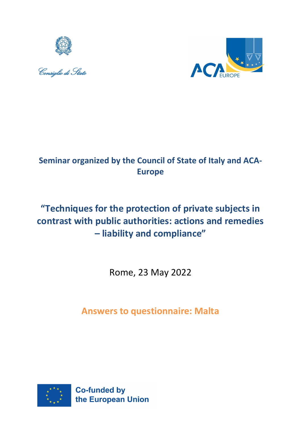





# **Seminar organized by the Council of State of Italy and ACA-Europe**

# **"Techniques for the protection of private subjects in contrast with public authorities: actions and remedies – liability and compliance"**

Rome, 23 May 2022

**Answers to questionnaire: Malta**

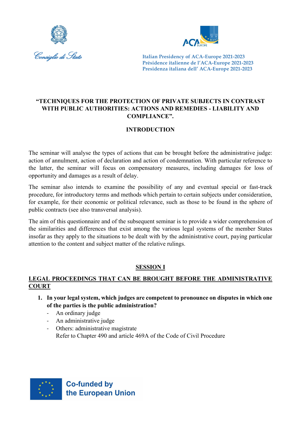



# **"TECHNIQUES FOR THE PROTECTION OF PRIVATE SUBJECTS IN CONTRAST WITH PUBLIC AUTHORITIES: ACTIONS AND REMEDIES - LIABILITY AND COMPLIANCE".**

# **INTRODUCTION**

The seminar will analyse the types of actions that can be brought before the administrative judge: action of annulment, action of declaration and action of condemnation. With particular reference to the latter, the seminar will focus on compensatory measures, including damages for loss of opportunity and damages as a result of delay.

The seminar also intends to examine the possibility of any and eventual special or fast-track procedure, for introductory terms and methods which pertain to certain subjects under consideration, for example, for their economic or political relevance, such as those to be found in the sphere of public contracts (see also transversal analysis).

The aim of this questionnaire and of the subsequent seminar is to provide a wider comprehension of the similarities and differences that exist among the various legal systems of the member States insofar as they apply to the situations to be dealt with by the administrative court, paying particular attention to the content and subject matter of the relative rulings.

# **SESSION I**

# **LEGAL PROCEEDINGS THAT CAN BE BROUGHT BEFORE THE ADMINISTRATIVE COURT**

- **1. In your legal system, which judges are competent to pronounce on disputes in which one of the parties is the public administration?**
	- An ordinary judge
	- An administrative judge
	- Others: administrative magistrate Refer to Chapter 490 and article 469A of the Code of Civil Procedure

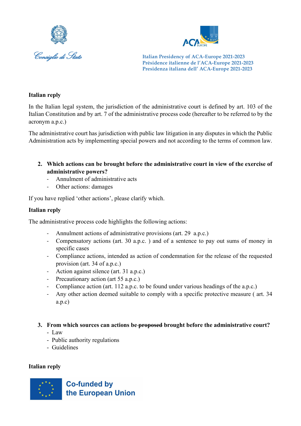



#### **Italian reply**

In the Italian legal system, the jurisdiction of the administrative court is defined by art. 103 of the Italian Constitution and by art. 7 of the administrative process code (hereafter to be referred to by the acronym a.p.c.)

The administrative court has jurisdiction with public law litigation in any disputes in which the Public Administration acts by implementing special powers and not according to the terms of common law.

- **2. Which actions can be brought before the administrative court in view of the exercise of administrative powers?**
	- Annulment of administrative acts
	- Other actions: damages

If you have replied 'other actions', please clarify which.

#### **Italian reply**

The administrative process code highlights the following actions:

- Annulment actions of administrative provisions (art. 29 a.p.c.)
- Compensatory actions (art. 30 a.p.c. ) and of a sentence to pay out sums of money in specific cases
- Compliance actions, intended as action of condemnation for the release of the requested provision (art. 34 of a.p.c.)
- Action against silence (art. 31 a.p.c.)
- Precautionary action (art 55 a.p.c.)
- Compliance action (art. 112 a.p.c. to be found under various headings of the a.p.c.)
- Any other action deemed suitable to comply with a specific protective measure (art. 34) a.p.c)

#### **3. From which sources can actions be proposed brought before the administrative court?**

- Law
- Public authority regulations
- Guidelines

#### **Italian reply**

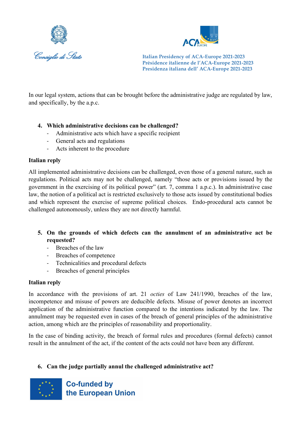



In our legal system, actions that can be brought before the administrative judge are regulated by law, and specifically, by the a.p.c.

# **4. Which administrative decisions can be challenged?**

- Administrative acts which have a specific recipient
- General acts and regulations
- Acts inherent to the procedure

# **Italian reply**

All implemented administrative decisions can be challenged, even those of a general nature, such as regulations. Political acts may not be challenged, namely "those acts or provisions issued by the government in the exercising of its political power" (art. 7, comma 1 a.p.c.). In administrative case law, the notion of a political act is restricted exclusively to those acts issued by constitutional bodies and which represent the exercise of supreme political choices. Endo-procedural acts cannot be challenged autonomously, unless they are not directly harmful.

# **5. On the grounds of which defects can the annulment of an administrative act be requested?**

- Breaches of the law
- Breaches of competence
- Technicalities and procedural defects
- Breaches of general principles

# **Italian reply**

In accordance with the provisions of art. 21 *octies* of Law 241/1990, breaches of the law, incompetence and misuse of powers are deducible defects. Misuse of power denotes an incorrect application of the administrative function compared to the intentions indicated by the law. The annulment may be requested even in cases of the breach of general principles of the administrative action, among which are the principles of reasonability and proportionality.

In the case of binding activity, the breach of formal rules and procedures (formal defects) cannot result in the annulment of the act, if the content of the acts could not have been any different.

# **6. Can the judge partially annul the challenged administrative act?**

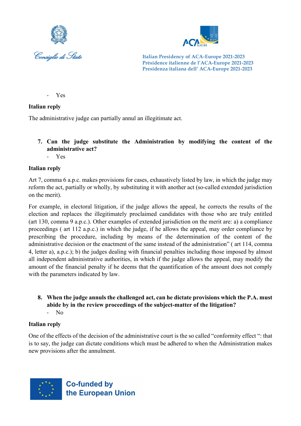



- Yes

#### **Italian reply**

The administrative judge can partially annul an illegitimate act.

**7. Can the judge substitute the Administration by modifying the content of the administrative act?**

- Yes

# **Italian reply**

Art 7, comma 6 a.p.c. makes provisions for cases, exhaustively listed by law, in which the judge may reform the act, partially or wholly, by substituting it with another act (so-called extended jurisdiction on the merit).

For example, in electoral litigation, if the judge allows the appeal, he corrects the results of the election and replaces the illegitimately proclaimed candidates with those who are truly entitled (art 130, comma 9 a.p.c.). Other examples of extended jurisdiction on the merit are: a) a compliance proceedings ( art 112 a.p.c.) in which the judge, if he allows the appeal, may order compliance by prescribing the procedure, including by means of the determination of the content of the administrative decision or the enactment of the same instead of the administration" ( art 114, comma 4, letter a), a.p.c.); b) the judges dealing with financial penalties including those imposed by almost all independent administrative authorities, in which if the judge allows the appeal, may modify the amount of the financial penalty if he deems that the quantification of the amount does not comply with the parameters indicated by law.

**8. When the judge annuls the challenged act, can he dictate provisions which the P.A. must abide by in the review proceedings of the subject-matter of the litigation?** - No

# **Italian reply**

One of the effects of the decision of the administrative court is the so called "conformity effect ": that is to say, the judge can dictate conditions which must be adhered to when the Administration makes new provisions after the annulment.

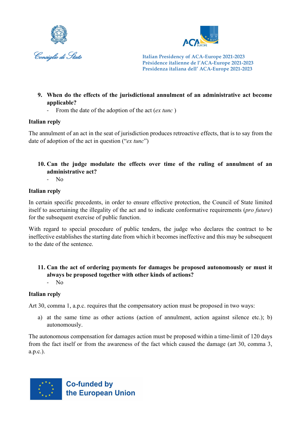



- **9. When do the effects of the jurisdictional annulment of an administrative act become applicable?**
	- From the date of the adoption of the act (*ex tunc* )

# **Italian reply**

The annulment of an act in the seat of jurisdiction produces retroactive effects, that is to say from the date of adoption of the act in question ("*ex tunc*")

# **10. Can the judge modulate the effects over time of the ruling of annulment of an administrative act?**

- No

# **Italian reply**

In certain specific precedents, in order to ensure effective protection, the Council of State limited itself to ascertaining the illegality of the act and to indicate conformative requirements (*pro future*) for the subsequent exercise of public function.

With regard to special procedure of public tenders, the judge who declares the contract to be ineffective establishes the starting date from which it becomes ineffective and this may be subsequent to the date of the sentence.

#### **11. Can the act of ordering payments for damages be proposed autonomously or must it always be proposed together with other kinds of actions?** - No

# **Italian reply**

Art 30, comma 1, a.p.c. requires that the compensatory action must be proposed in two ways:

a) at the same time as other actions (action of annulment, action against silence etc.); b) autonomously.

The autonomous compensation for damages action must be proposed within a time-limit of 120 days from the fact itself or from the awareness of the fact which caused the damage (art 30, comma 3, a.p.c.).

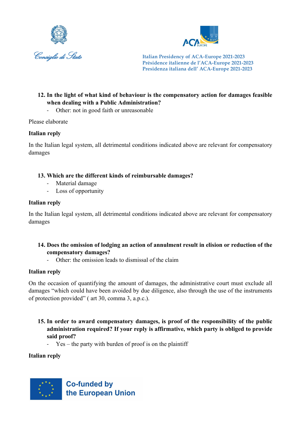



# **12. In the light of what kind of behaviour is the compensatory action for damages feasible when dealing with a Public Administration?**

- Other: not in good faith or unreasonable

Please elaborate

#### **Italian reply**

In the Italian legal system, all detrimental conditions indicated above are relevant for compensatory damages

# **13. Which are the different kinds of reimbursable damages?**

- Material damage
- Loss of opportunity

#### **Italian reply**

In the Italian legal system, all detrimental conditions indicated above are relevant for compensatory damages

#### **14. Does the omission of lodging an action of annulment result in elision or reduction of the compensatory damages?**

- Other: the omission leads to dismissal of the claim

# **Italian reply**

On the occasion of quantifying the amount of damages, the administrative court must exclude all damages "which could have been avoided by due diligence, also through the use of the instruments of protection provided" ( art 30, comma 3, a.p.c.).

- **15. In order to award compensatory damages, is proof of the responsibility of the public administration required? If your reply is affirmative, which party is obliged to provide said proof?**
	- Yes the party with burden of proof is on the plaintiff

# **Italian reply**

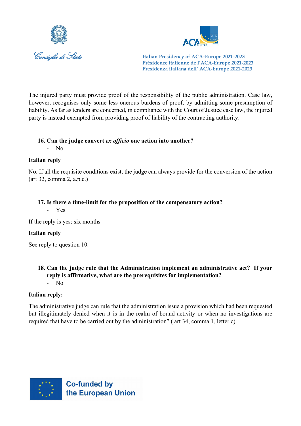



The injured party must provide proof of the responsibility of the public administration. Case law, however, recognises only some less onerous burdens of proof, by admitting some presumption of liability. As far as tenders are concerned, in compliance with the Court of Justice case law, the injured party is instead exempted from providing proof of liability of the contracting authority.

#### **16. Can the judge convert** *ex officio* **one action into another?**

- No

#### **Italian reply**

No. If all the requisite conditions exist, the judge can always provide for the conversion of the action (art 32, comma 2, a.p.c.)

#### **17. Is there a time-limit for the proposition of the compensatory action?**

- Yes

If the reply is yes: six months

# **Italian reply**

See reply to question 10.

#### **18. Can the judge rule that the Administration implement an administrative act? If your reply is affirmative, what are the prerequisites for implementation?** - No

#### **Italian reply:**

The administrative judge can rule that the administration issue a provision which had been requested but illegitimately denied when it is in the realm of bound activity or when no investigations are required that have to be carried out by the administration" ( art 34, comma 1, letter c).

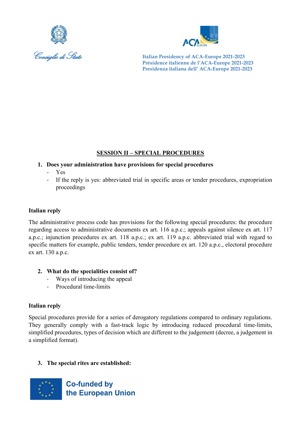



# **SESSION II – SPECIAL PROCEDURES**

- **1. Does your administration have provisions for special procedures**
	- Yes
	- If the reply is yes: abbreviated trial in specific areas or tender procedures, expropriation proceedings

# **Italian reply**

The administrative process code has provisions for the following special procedures: the procedure regarding access to administrative documents ex art. 116 a.p.c.; appeals against silence ex art. 117 a.p.c.; injunction procedures ex art. 118 a.p.c.; ex art. 119 a.p.c. abbreviated trial with regard to specific matters for example, public tenders, tender procedure ex art. 120 a.p.c., electoral procedure ex art. 130 a.p.c.

- **2. What do the specialities consist of?**
	- Ways of introducing the appeal
	- Procedural time-limits

# **Italian reply**

Special procedures provide for a series of derogatory regulations compared to ordinary regulations. They generally comply with a fast-track logic by introducing reduced procedural time-limits, simplified procedures, types of decision which are different to the judgement (decree, a judgement in a simplified format).

# **3. The special rites are established:**

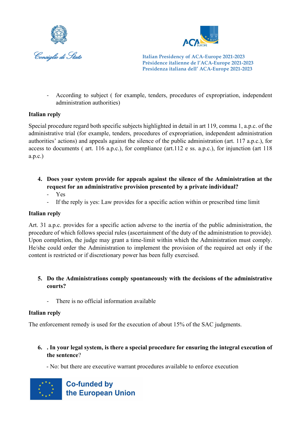



- According to subject ( for example, tenders, procedures of expropriation, independent administration authorities)

# **Italian reply**

Special procedure regard both specific subjects highlighted in detail in art 119, comma 1, a.p.c. of the administrative trial (for example, tenders, procedures of expropriation, independent administration authorities' actions) and appeals against the silence of the public administration (art. 117 a.p.c.), for access to documents ( art. 116 a.p.c.), for compliance (art.112 e ss. a.p.c.), for injunction (art 118 a.p.c.)

- **4. Does your system provide for appeals against the silence of the Administration at the request for an administrative provision presented by a private individual?**
	- Yes
	- If the reply is yes: Law provides for a specific action within or prescribed time limit

#### **Italian reply**

Art. 31 a.p.c. provides for a specific action adverse to the inertia of the public administration, the procedure of which follows special rules (ascertainment of the duty of the administration to provide). Upon completion, the judge may grant a time-limit within which the Administration must comply. He/she could order the Administration to implement the provision of the required act only if the content is restricted or if discretionary power has been fully exercised.

#### **5. Do the Administrations comply spontaneously with the decisions of the administrative courts?**

There is no official information available

# **Italian reply**

The enforcement remedy is used for the execution of about 15% of the SAC judgments.

- **6. . In your legal system, is there a special procedure for ensuring the integral execution of the sentence**?
	- No: but there are executive warrant procedures available to enforce execution

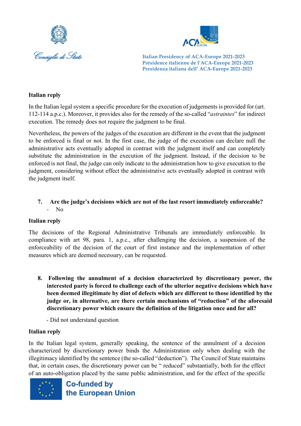



#### **Italian reply**

In the Italian legal system a specific procedure for the execution of judgements is provided for (art. 112-114 a.p.c.). Moreover, it provides also for the remedy of the so-called "*astraintes*" for indirect execution. The remedy does not require the judgment to be final.

Nevertheless, the powers of the judges of the execution are different in the event that the judgment to be enforced is final or not. In the first case, the judge of the execution can declare null the administrative acts eventually adopted in contrast with the judgment itself and can completely substitute the administration in the execution of the judgment. Instead, if the decision to be enforced is not final, the judge can only indicate to the administration how to give execution to the judgment, considering without effect the administrative acts eventually adopted in contrast with the judgment itself.

# **7. Are the judge's decisions which are not of the last resort immediately enforceable?** N<sub>o</sub>

#### **Italian reply**

The decisions of the Regional Administrative Tribunals are immediately enforceable. In compliance with art 98, para. 1, a.p.c., after challenging the decision, a suspension of the enforceability of the decision of the court of first instance and the implementation of other measures which are deemed necessary, can be requested.

- **8. Following the annulment of a decision characterized by discretionary power, the interested party is forced to challenge each of the ulterior negative decisions which have been deemed illegitimate by dint of defects which are different to those identified by the judge or, in alternative, are there certain mechanisms of "reduction" of the aforesaid discretionary power which ensure the definition of the litigation once and for all?**
	- Did not understand question

#### **Italian reply**

In the Italian legal system, generally speaking, the sentence of the annulment of a decision characterized by discretionary power binds the Administration only when dealing with the illegitimacy identified by the sentence (the so-called "deduction"). The Council of State maintains that, in certain cases, the discretionary power can be " reduced" substantially, both for the effect of an auto-obligation placed by the same public administration, and for the effect of the specific

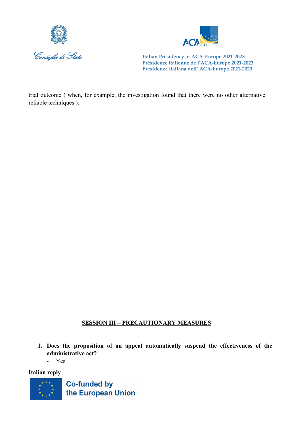



trial outcome ( when, for example, the investigation found that there were no other alternative reliable techniques ).

# **SESSION III – PRECAUTIONARY MEASURES**

- **1. Does the proposition of an appeal automatically suspend the effectiveness of the administrative act?** 
	- Yes

**Italian reply**

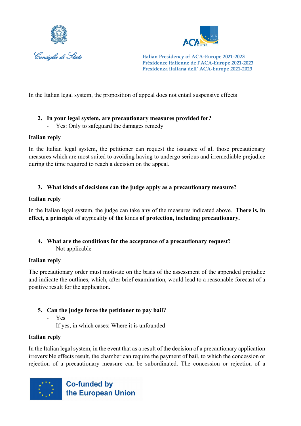



In the Italian legal system, the proposition of appeal does not entail suspensive effects

# **2. In your legal system, are precautionary measures provided for?**

Yes: Only to safeguard the damages remedy

# **Italian reply**

In the Italian legal system, the petitioner can request the issuance of all those precautionary measures which are most suited to avoiding having to undergo serious and irremediable prejudice during the time required to reach a decision on the appeal.

# **3. What kinds of decisions can the judge apply as a precautionary measure?**

# **Italian reply**

In the Italian legal system, the judge can take any of the measures indicated above. **There is, in effect, a principle of** atypicalit**y of the** kinds **of protection, including precautionary.**

- **4. What are the conditions for the acceptance of a precautionary request?**
	- Not applicable

# **Italian reply**

The precautionary order must motivate on the basis of the assessment of the appended prejudice and indicate the outlines, which, after brief examination, would lead to a reasonable forecast of a positive result for the application.

# **5. Can the judge force the petitioner to pay bail?**

- Yes
- If yes, in which cases: Where it is unfounded

# **Italian reply**

In the Italian legal system, in the event that as a result of the decision of a precautionary application irreversible effects result, the chamber can require the payment of bail, to which the concession or rejection of a precautionary measure can be subordinated. The concession or rejection of a

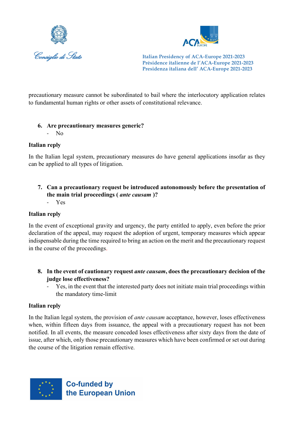



precautionary measure cannot be subordinated to bail where the interlocutory application relates to fundamental human rights or other assets of constitutional relevance.

# **6. Are precautionary measures generic?**

- No

# **Italian reply**

In the Italian legal system, precautionary measures do have general applications insofar as they can be applied to all types of litigation.

- **7. Can a precautionary request be introduced autonomously before the presentation of the main trial proceedings (** *ante causam* **)?**
	- Yes

# **Italian reply**

In the event of exceptional gravity and urgency, the party entitled to apply, even before the prior declaration of the appeal, may request the adoption of urgent, temporary measures which appear indispensable during the time required to bring an action on the merit and the precautionary request in the course of the proceedings.

- **8. In the event of cautionary request** *ante causam***, does the precautionary decision of the judge lose effectiveness?**
	- Yes, in the event that the interested party does not initiate main trial proceedings within the mandatory time-limit

# **Italian reply**

In the Italian legal system, the provision of *ante causam* acceptance, however, loses effectiveness when, within fifteen days from issuance, the appeal with a precautionary request has not been notified. In all events, the measure conceded loses effectiveness after sixty days from the date of issue, after which, only those precautionary measures which have been confirmed or set out during the course of the litigation remain effective.

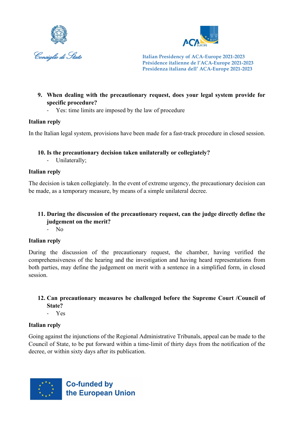



- **9. When dealing with the precautionary request, does your legal system provide for specific procedure?** 
	- Yes: time limits are imposed by the law of procedure

# **Italian reply**

In the Italian legal system, provisions have been made for a fast-track procedure in closed session.

# **10. Is the precautionary decision taken unilaterally or collegiately?**

- Unilaterally;

# **Italian reply**

The decision is taken collegiately. In the event of extreme urgency, the precautionary decision can be made, as a temporary measure, by means of a simple unilateral decree.

# **11. During the discussion of the precautionary request, can the judge directly define the judgement on the merit?**

- No

# **Italian reply**

During the discussion of the precautionary request, the chamber, having verified the comprehensiveness of the hearing and the investigation and having heard representations from both parties, may define the judgement on merit with a sentence in a simplified form, in closed session.

# **12. Can precautionary measures be challenged before the Supreme Court /Council of State?**

- Yes

# **Italian reply**

Going against the injunctions of the Regional Administrative Tribunals, appeal can be made to the Council of State, to be put forward within a time-limit of thirty days from the notification of the decree, or within sixty days after its publication.